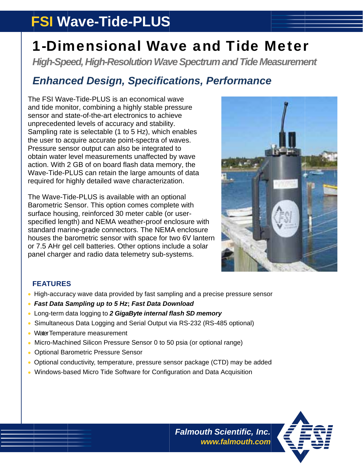# **FSI Wave-Tide-PLUS**

# **1-Dimensional Wave and Tide Meter**

**High-Speed, High-Resolution Wave Spectrum and Tide Measurement** 

### **Enhanced Design, Specifications, Performance**

The FSI Wave-Tide-PLUS is an economical wave and tide monitor, combining a highly stable pressure sensor and state-of-the-art electronics to achieve unprecedented levels of accuracy and stability. Sampling rate is selectable (1 to 5 Hz), which enables the user to acquire accurate point-spectra of waves. Pressure sensor output can also be integrated to obtain water level measurements unaffected by wave action. With 2 GB of on board flash data memory, the Wave-Tide-PLUS can retain the large amounts of data required for highly detailed wave characterization.

The Wave-Tide-PLUS is available with an optional Barometric Sensor. This option comes complete with surface housing, reinforced 30 meter cable (or userspecified length) and NEMA weather-proof enclosure with standard marine-grade connectors. The NEMA enclosure houses the barometric sensor with space for two 6V lantern or 7.5 AHr gel cell batteries. Other options include a solar panel charger and radio data telemetry sub-systems.



### **FEATURES**

- High-accuracy wave data provided by fast sampling and a precise pressure sensor
- Fast Data Sampling up to 5 Hz; Fast Data Download
- Long-term data logging to 2 GigaByte internal flash SD memory
- Simultaneous Data Logging and Serial Output via RS-232 (RS-485 optional)
- Water Temperature measurement
- Micro-Machined Silicon Pressure Sensor 0 to 50 psia (or optional range)
- **Optional Barometric Pressure Sensor**
- Optional conductivity, temperature, pressure sensor package (CTD) may be added
- Windows-based Micro Tide Software for Configuration and Data Acquisition



**Falmouth Scientific, Inc.** www.falmouth.com